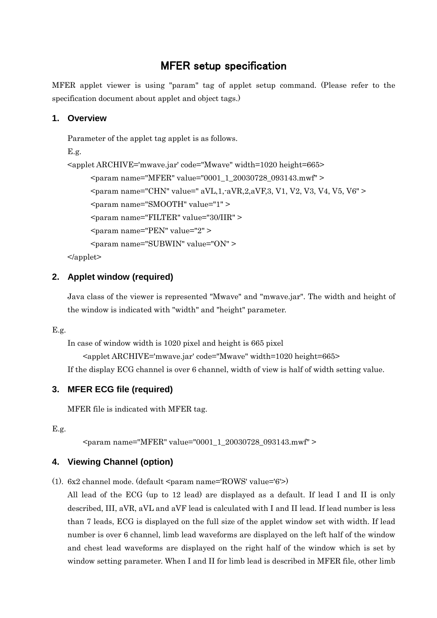# MFER setup specification

MFER applet viewer is using "param" tag of applet setup command. (Please refer to the specification document about applet and object tags.)

# **1. Overview**

```
Parameter of the applet tag applet is as follows.
E.g.
<applet ARCHIVE='mwave.jar' code="Mwave" width=1020 height=665>
     <param name="MFER" value="0001_1_20030728_093143.mwf" >
     <param name="CHN" value=" aVL,1,-aVR,2,aVF,3, V1, V2, V3, V4, V5, V6" >
     <param name="SMOOTH" value="1" >
     <param name="FILTER" value="30/IIR" >
     <param name="PEN" value="2" >
     <param name="SUBWIN" value="ON" >
```
</applet>

# **2. Applet window (required)**

Java class of the viewer is represented "Mwave" and "mwave.jar". The width and height of the window is indicated with "width" and "height" parameter.

## E.g.

In case of window width is 1020 pixel and height is 665 pixel

<applet ARCHIVE='mwave.jar' code="Mwave" width=1020 height=665>

If the display ECG channel is over 6 channel, width of view is half of width setting value.

# **3. MFER ECG file (required)**

MFER file is indicated with MFER tag.

E.g.

<param name="MFER" value="0001\_1\_20030728\_093143.mwf" >

# **4. Viewing Channel (option)**

(1).  $6x^2$  channel mode. (default  $\langle$  param name='ROWS' value='6'>)

All lead of the ECG (up to 12 lead) are displayed as a default. If lead I and II is only described, III, aVR, aVL and aVF lead is calculated with I and II lead. If lead number is less than 7 leads, ECG is displayed on the full size of the applet window set with width. If lead number is over 6 channel, limb lead waveforms are displayed on the left half of the window and chest lead waveforms are displayed on the right half of the window which is set by window setting parameter. When I and II for limb lead is described in MFER file, other limb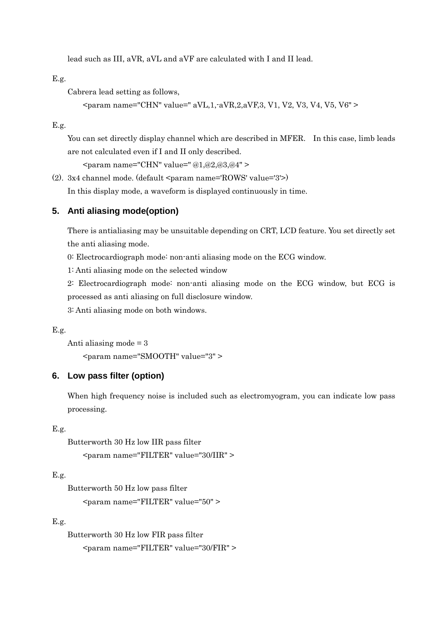lead such as III, aVR, aVL and aVF are calculated with I and II lead.

E.g.

Cabrera lead setting as follows,

```
\epsilon param name="CHN" value=" aVL,1,-aVR,2,aVF,3, V1, V2, V3, V4, V5, V6" >
```
E.g.

You can set directly display channel which are described in MFER. In this case, limb leads are not calculated even if I and II only described.

 $\epsilon$  > <param name="CHN" value=" @1,@2,@3,@4"

(2).  $3x4$  channel mode. (default <param name='ROWS' value='3'>)

In this display mode, a waveform is displayed continuously in time.

#### **5. Anti aliasing mode(option)**

There is antialiasing may be unsuitable depending on CRT, LCD feature. You set directly set the anti aliasing mode.

0: Electrocardiograph mode: non-anti aliasing mode on the ECG window.

1: Anti aliasing mode on the selected window

2: Electrocardiograph mode: non-anti aliasing mode on the ECG window, but ECG is processed as anti aliasing on full disclosure window.

3: Anti aliasing mode on both windows.

#### E.g.

Anti aliasing mode = 3

<param name="SMOOTH" value="3" >

#### **6. Low pass filter (option)**

When high frequency noise is included such as electromyogram, you can indicate low pass processing.

## E.g.

Butterworth 30 Hz low IIR pass filter <param name="FILTER" value="30/IIR" >

#### E.g.

Butterworth 50 Hz low pass filter <param name="FILTER" value="50" >

## E.g.

Butterworth 30 Hz low FIR pass filter <param name="FILTER" value="30/FIR" >